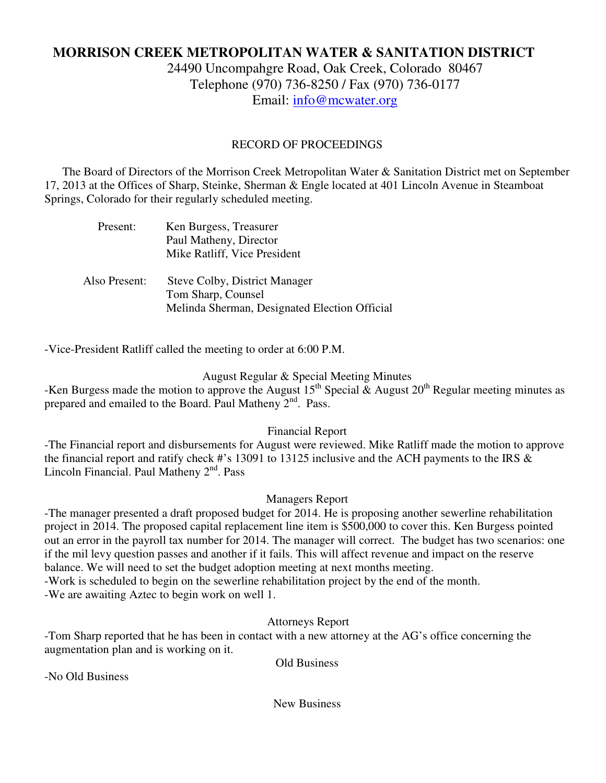## **MORRISON CREEK METROPOLITAN WATER & SANITATION DISTRICT**

24490 Uncompahgre Road, Oak Creek, Colorado 80467 Telephone (970) 736-8250 / Fax (970) 736-0177 Email: info@mcwater.org

## RECORD OF PROCEEDINGS

 The Board of Directors of the Morrison Creek Metropolitan Water & Sanitation District met on September 17, 2013 at the Offices of Sharp, Steinke, Sherman & Engle located at 401 Lincoln Avenue in Steamboat Springs, Colorado for their regularly scheduled meeting.

| Present:      | Ken Burgess, Treasurer<br>Paul Matheny, Director<br>Mike Ratliff, Vice President                     |
|---------------|------------------------------------------------------------------------------------------------------|
| Also Present: | Steve Colby, District Manager<br>Tom Sharp, Counsel<br>Melinda Sherman, Designated Election Official |

-Vice-President Ratliff called the meeting to order at 6:00 P.M.

August Regular & Special Meeting Minutes

-Ken Burgess made the motion to approve the August  $15^{th}$  Special & August  $20^{th}$  Regular meeting minutes as prepared and emailed to the Board. Paul Matheny  $2<sup>nd</sup>$ . Pass.

## Financial Report

-The Financial report and disbursements for August were reviewed. Mike Ratliff made the motion to approve the financial report and ratify check #'s 13091 to 13125 inclusive and the ACH payments to the IRS & Lincoln Financial. Paul Matheny  $2<sup>nd</sup>$ . Pass

## Managers Report

-The manager presented a draft proposed budget for 2014. He is proposing another sewerline rehabilitation project in 2014. The proposed capital replacement line item is \$500,000 to cover this. Ken Burgess pointed out an error in the payroll tax number for 2014. The manager will correct. The budget has two scenarios: one if the mil levy question passes and another if it fails. This will affect revenue and impact on the reserve balance. We will need to set the budget adoption meeting at next months meeting. -Work is scheduled to begin on the sewerline rehabilitation project by the end of the month. -We are awaiting Aztec to begin work on well 1.

Attorneys Report

-Tom Sharp reported that he has been in contact with a new attorney at the AG's office concerning the augmentation plan and is working on it.

Old Business

-No Old Business

New Business